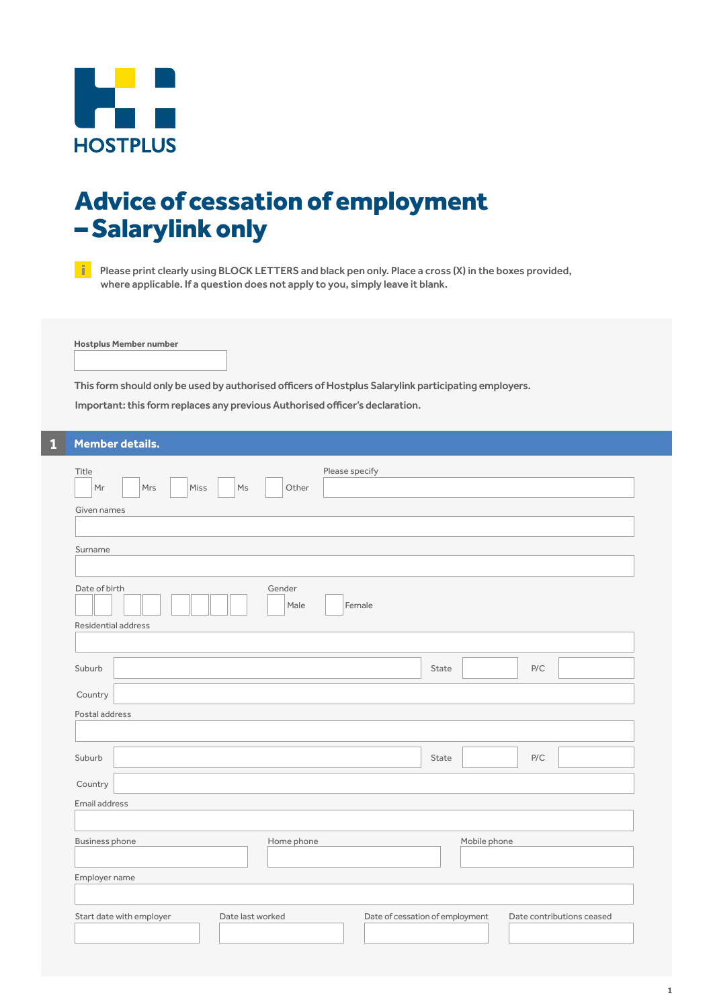

# Advice of cessation of employment – Salarylink only

Please print clearly using BLOCK LETTERS and black pen only. Place a cross (X) in the boxes provided, where applicable. If a question does not apply to you, simply leave it blank.

**Hostplus Member number**

This form should only be used by authorised officers of Hostplus Salarylink participating employers.

Important: this form replaces any previous Authorised officer's declaration.

### **1 Member details.**

| Lieunger accanar                                                                      |                                                              |
|---------------------------------------------------------------------------------------|--------------------------------------------------------------|
| Please specify<br>Title<br>Mr<br>Mrs<br>Miss<br>$\mathsf{Ms}$<br>Other<br>Given names |                                                              |
|                                                                                       |                                                              |
| Surname                                                                               |                                                              |
| Date of birth<br>Gender<br>Female<br>Male<br>Residential address                      |                                                              |
|                                                                                       |                                                              |
| Suburb                                                                                | P/C<br>State                                                 |
|                                                                                       |                                                              |
| Country                                                                               |                                                              |
| Postal address                                                                        |                                                              |
|                                                                                       |                                                              |
| Suburb                                                                                | P/C<br>State                                                 |
| Country                                                                               |                                                              |
| Email address                                                                         |                                                              |
|                                                                                       |                                                              |
| Home phone<br><b>Business phone</b>                                                   | Mobile phone                                                 |
| Employer name                                                                         |                                                              |
| Start date with employer<br>Date last worked                                          | Date of cessation of employment<br>Date contributions ceased |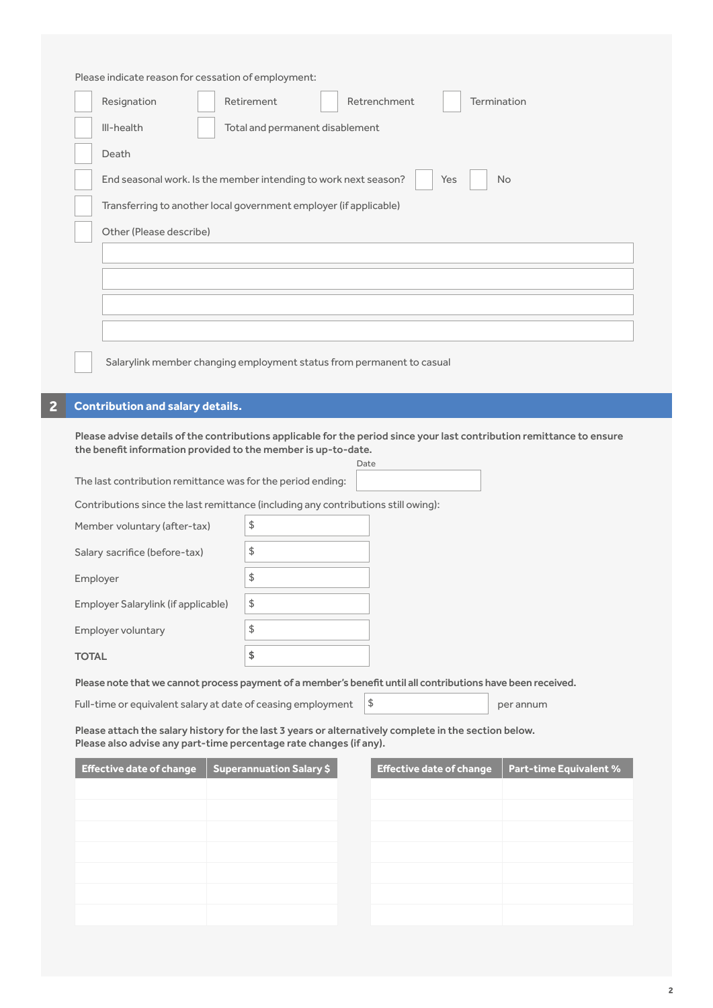|             | Please indicate reason for cessation of employment: |              |
|-------------|-----------------------------------------------------|--------------|
| Resignation | Retirement                                          | Retrenchment |
|             |                                                     |              |

| III-health<br>Total and permanent disablement                                       |
|-------------------------------------------------------------------------------------|
| Death                                                                               |
| End seasonal work. Is the member intending to work next season?<br>Yes<br><b>No</b> |
| Transferring to another local government employer (if applicable)                   |
| Other (Please describe)                                                             |
|                                                                                     |
|                                                                                     |
|                                                                                     |
|                                                                                     |
| Salarylink member changing employment status from permanent to casual               |

Termination

## **2 Contribution and salary details.**

Please advise details of the contributions applicable for the period since your last contribution remittance to ensure the benefit information provided to the member is up-to-date.

|                                                                                                                                                                             |                                 | Date                            |                               |  |
|-----------------------------------------------------------------------------------------------------------------------------------------------------------------------------|---------------------------------|---------------------------------|-------------------------------|--|
| The last contribution remittance was for the period ending:                                                                                                                 |                                 |                                 |                               |  |
| Contributions since the last remittance (including any contributions still owing):                                                                                          |                                 |                                 |                               |  |
| Member voluntary (after-tax)                                                                                                                                                | $\updownarrow$                  |                                 |                               |  |
| Salary sacrifice (before-tax)                                                                                                                                               | \$                              |                                 |                               |  |
| Employer                                                                                                                                                                    | \$                              |                                 |                               |  |
| Employer Salarylink (if applicable)                                                                                                                                         | $\updownarrow$                  |                                 |                               |  |
| Employer voluntary                                                                                                                                                          | \$                              |                                 |                               |  |
| <b>TOTAL</b>                                                                                                                                                                | \$                              |                                 |                               |  |
| Please note that we cannot process payment of a member's benefit until all contributions have been received.                                                                |                                 |                                 |                               |  |
| \$<br>Full-time or equivalent salary at date of ceasing employment<br>per annum                                                                                             |                                 |                                 |                               |  |
| Please attach the salary history for the last 3 years or alternatively complete in the section below.<br>Please also advise any part-time percentage rate changes (if any). |                                 |                                 |                               |  |
| <b>Effective date of change</b>                                                                                                                                             | <b>Superannuation Salary \$</b> | <b>Effective date of change</b> | <b>Part-time Equivalent %</b> |  |
|                                                                                                                                                                             |                                 |                                 |                               |  |
|                                                                                                                                                                             |                                 |                                 |                               |  |
|                                                                                                                                                                             |                                 |                                 |                               |  |
|                                                                                                                                                                             |                                 |                                 |                               |  |
|                                                                                                                                                                             |                                 |                                 |                               |  |